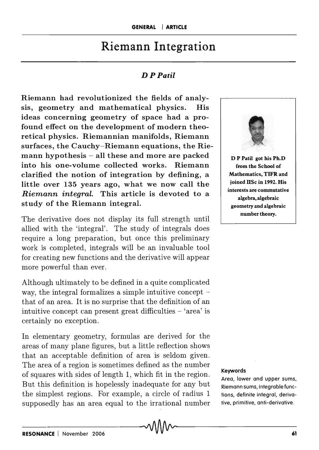## Riemann Integration

## *D P Patil*

Riemann had revolutionized the fields of analysis, geometry and mathematical physics. His ideas concerning geometry of space had a profound effect on the development of modern theoretical physics. Riemannian manifolds, Riemann surfaces, the Cauchy-Riemann equations, the Riemann hypothesis  $-$  all these and more are packed into his one-volume collected works. Riemann clarified the notion of integration by defining, a little over 135 years ago, what we now call the *Riemann integral.* This article is devoted to a study of the Riemann integral.

The derivative does not display its full strength until allied with the 'integral'. The study of integrals does require a long preparation, but once this preliminary work is completed, integrals will be an invaluable tool for creating new functions and the derivative will appear more powerful than ever.

Although ultimately to be defined in a quite complicated way, the integral formalizes a simple intuitive concept that of an area. It is no surprise that the definition of an intuitive concept can present great difficulties  $-$  'area' is certainly no exception.

In elementary geometry, formulas are derived for the areas of many plane figures, but a little reflection shows that an acceptable definition of area is seldom given. The area of a region is sometimes defined as the number of squares with sides of length 1, which fit in the region. But this definition is hopelessly inadequate for any but the simplest regions. For example, a circle of radius 1 supposedly has an area equal to the irrational number



from the School of Mathematics, TIFR and joined IISc in 1992. His interests are commutative algebra, algebraic geometry and algebraic number theory.

## Keywords

Area, lower and upper sums, Riemann sums, integrable functions, definite integral, derivative, primitive, anti-derivative.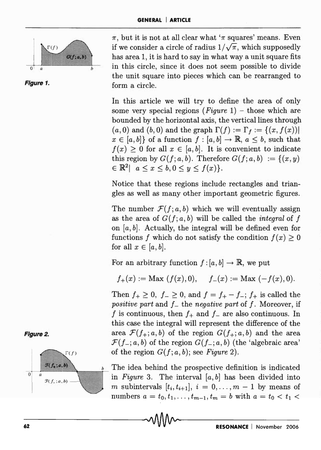



 $\pi$ , but it is not at all clear what ' $\pi$  squares' means. Even if we consider a circle of radius  $1/\sqrt{\pi}$ , which supposedly has area 1, it is hard to say in what way a unit square fits in this circle, since it does not seem possible to divide the unit square into pieces which can be rearranged to form a circle.

In this article we will try to define the area of only some very special regions *(Figure* 1) - those which are bounded by the horizontal axis, the vertical lines through  $(a, 0)$  and  $(b, 0)$  and the graph  $\Gamma(f) := \Gamma_f := \{(x, f(x))\}$  $x \in [a, b]$  of a function  $f : [a, b] \to \mathbb{R}$ ,  $a \leq b$ , such that  $f(x) \geq 0$  for all  $x \in [a, b]$ . It is convenient to indicate this region by  $G(f; a, b)$ . Therefore  $G(f; a, b) := \{(x, y)\}$  $\in \mathbb{R}^2$ |  $a \leq x \leq b, 0 \leq y \leq f(x)$ .

Notice that these regions include rectangles and triangles as well as many other important geometric figures.

The number  $\mathcal{F}(f; a, b)$  which we will eventually assign as the area of  $G(f; a, b)$  will be called the *integral* of f on  $[a, b]$ . Actually, the integral will be defined even for functions *f* which do not satisfy the condition  $f(x) \geq 0$ for all  $x \in [a, b]$ .

For an arbitrary function  $f: [a, b] \to \mathbb{R}$ , we put

$$
f_+(x) := \text{Max}(f(x), 0), \quad f_-(x) := \text{Max}(-f(x), 0).
$$

Then  $f_+ \geq 0$ ,  $f_- \geq 0$ , and  $f = f_+ - f_-$ ;  $f_+$  is called the *positive part* and *1* - the *negative part* of *I.* Moreover, if f is continuous, then  $f_+$  and  $f_-$  are also continuous. In this case the integral will represent the difference of the area  $\mathcal{F}(f_+; a, b)$  of the region  $G(f_+; a, b)$  and the area  $\mathcal{F}(f_{-}; a, b)$  of the region  $G(f_{-}; a, b)$  (the 'algebraic area' of the region  $G(f; a, b)$ ; see *Figure 2*).

The idea behind the prospective definition is indicated in *Figure* 3. The interval *[a, b]* has been divided into m subintervals  $[t_i, t_{i+1}], i = 0, \ldots, m-1$  by means of numbers  $a = t_0, t_1, \ldots, t_{m-1}, t_m = b$  with  $a = t_0 < t_1$ 



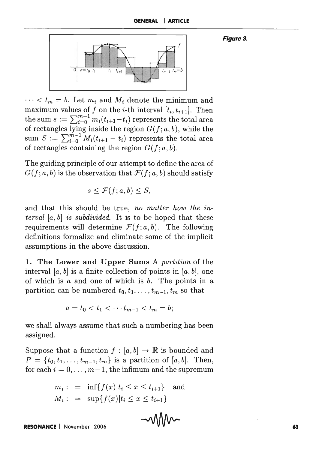**Figure 3.** 



 $\cdots < t_m = b$ . Let  $m_i$  and  $M_i$  denote the minimum and maximum values of *f* on the *i*-th interval  $[t_i, t_{i+1}]$ . Then the sum  $s := \sum_{i=0}^{m-1} m_i(t_{i+1}-t_i)$  represents the total area of rectangles lying inside the region  $G(f; a, b)$ , while the sum  $S := \sum_{i=0}^{\infty} \widetilde{M}_i(t_{i+1} - t_i)$  represents the total area of rectangles containing the region  $G(f; a, b)$ .

The guiding principle of our attempt to define the area of  $G(f; a, b)$  is the observation that  $\mathcal{F}(f; a, b)$  should satisfy

 $s \leq \mathcal{F}(f; a, b) \leq S.$ 

and that this should be true, *no matter how the interval [a, b]* is *subdivided.* It is to be hoped that these requirements will determine  $\mathcal{F}(f; a, b)$ . The following definitions formalize and eliminate some of the implicit assumptions in the above discussion.

**1. The Lower and Upper Sums** A *partition* of the interval [a, b] is a finite collection of points in [a, b], one of which is  $a$  and one of which is  $b$ . The points in a partition can be numbered  $t_0, t_1, \ldots, t_{m-1}, t_m$  so that

$$
a = t_0 < t_1 < \cdots t_{m-1} < t_m = b;
$$

we shall always assume that such a numbering has been assigned.

Suppose that a function  $f : [a, b] \to \mathbb{R}$  is bounded and  $P = \{t_0, t_1, \ldots, t_{m-1}, t_m\}$  is a partition of [a, b]. Then, for each  $i = 0, \ldots, m-1$ , the infimum and the supremum

$$
m_i
$$
: = inf{ $f(x)$ | $t_i \le x \le t_{i+1}$ } and  
 $M_i$ : = sup{ $f(x)$ | $t_i \le x \le t_{i+1}$ }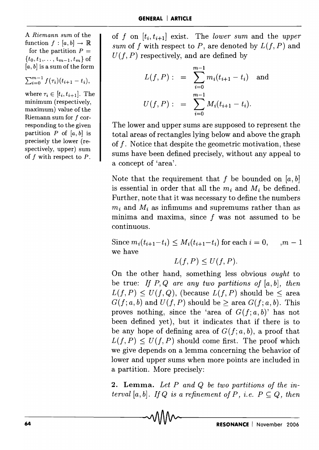A *Riemann sum* of the function  $f : [a, b] \rightarrow \mathbb{R}$ for the partition  $P =$  $\{t_0, t_1, \ldots, t_{m-1}, t_m\}$  of  $[a, b]$  is a sum of the form

$$
\sum_{i=0}^{m-1} f(\tau_i)(t_{i+1}-t_i),
$$

where  $\tau_i \in [t_i, t_{i+1}]$ . The minimum (respectively, maximum) value of the Riemann sum for f corresponding to the given partition  $P$  of  $[a, b]$  is precisely the lower (respectively, upper) sum of f with respect to *P.* 

of *f* on  $[t_i, t_{i+1}]$  exist. The *lower sum* and the *upper sum* of *f* with respect to *P*, are denoted by  $L(f, P)$  and  $U(f, P)$  respectively, and are defined by

$$
L(f, P) : = \sum_{i=0}^{m-1} m_i (t_{i+1} - t_i) \text{ and}
$$
  

$$
U(f, P) : = \sum_{i=0}^{m-1} M_i (t_{i+1} - t_i).
$$

The lower and upper sums are supposed to represent the total areas of rectangles lying below and above the graph of f. Notice that despite the geometric motivation, these sums have been defined precisely, without any appeal to a concept of 'area'.

Note that the requirement that f be bounded on  $[a, b]$ is essential in order that all the  $m_i$  and  $M_i$  be defined. Further, note that it was necessary to define the numbers  $m_i$  and  $M_i$  as infimums and supremums rather than as minima and maxima, since f was not assumed to be continuous.

Since  $m_i(t_{i+1}-t_i) \leq M_i(t_{i+1}-t_i)$  for each  $i = 0, \dots, m-1$ we have

$$
L(f, P) \le U(f, P).
$$

On the other hand, something less obvious *ought* to be true: *If* P, Q *are any two partitions of [a, b], then*   $L(f, P) \leq U(f, Q)$ , (because  $L(f, P)$  should be < area  $G(f; a, b)$  and  $U(f, P)$  should be  $\geq$  area  $G(f; a, b)$ . This proves nothing, since the 'area of  $G(f; a, b)$ ' has not been defined yet), but it indicates that if there is to be any hope of defining area of  $G(f; a, b)$ , a proof that  $L(f, P) \leq U(f, P)$  should come first. The proof which we give depends on a lemma concerning the behavior of lower and upper sums when more points are included in a partition. More precisely:

2. **Lemma.** *Let P and Q be two partitions of the interval*  $[a, b]$ *. If Q is a refinement of P, i.e.*  $P \subseteq Q$ *, then* \_\_\_\_\_\_\_\_ LAAnAA <sup>A</sup> ord  $Q$  be two partitions of the in-<br>a refinement of  $P$ , i.e.  $P \subseteq Q$ , then<br><br> $\begin{array}{c} \bullet \end{array}$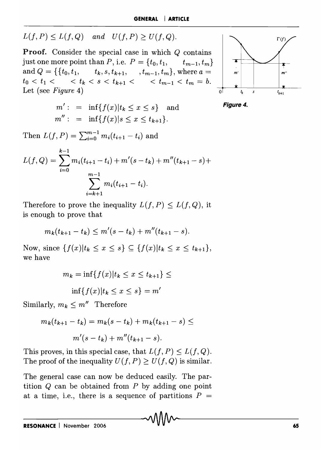$$
L(f, P) \le L(f, Q) \quad and \quad U(f, P) \ge U(f, Q).
$$

**Proof.** Consider the special case in which Q contains just one more point than *P*, i.e.  $P = \{t_0, t_1, \dots, t_{m-1}, t_m\}$ and  $Q = \{ \{t_0, t_1, t_k, s, t_{k+1}, t_{m-1}, t_m \}, \text{where } a = \}$  $t_0 < t_1 <$   $\leq t_k < s < t_{k+1} <$   $\leq t_{m-1} < t_m = b.$ Let (see *Figure* 4)  $\overline{0}$ 

$$
m' : = \inf\{f(x)|t_k \le x \le s\}
$$
 and  
\n $m'' : = \inf\{f(x)|s \le x \le t_{k+1}\}.$ 





Then  $L(f, P) = \sum_{i=0}^{m-1} m_i (t_{i+1} - t_i)$  and

$$
L(f, Q) = \sum_{i=0}^{k-1} m_i (t_{i+1} - t_i) + m'(s - t_k) + m''(t_{k+1} - s) + \sum_{i=k+1}^{m-1} m_i (t_{i+1} - t_i).
$$

Therefore to prove the inequality  $L(f, P) \leq L(f, Q)$ , it is enough to prove that

$$
m_k(t_{k+1}-t_k) \leq m'(s-t_k) + m''(t_{k+1}-s).
$$

Now, since  $\{f(x)|t_k \leq x \leq s\} \subseteq \{f(x)|t_k \leq x \leq t_{k+1}\},\$ we have

$$
m_k = \inf\{f(x)|t_k \le x \le t_{k+1}\} \le
$$
  

$$
\inf\{f(x)|t_k \le x \le s\} = m'
$$

Similarly,  $m_k \leq m''$  Therefore

$$
m_k(t_{k+1} - t_k) = m_k(s - t_k) + m_k(t_{k+1} - s) \le
$$
  

$$
m'(s - t_k) + m''(t_{k+1} - s).
$$

This proves, in this special case, that  $L(f, P) \leq L(f, Q)$ . The proof of the inequality  $U(f, P) \geq U(f, Q)$  is similar.

The general case can now be deduced easily. The partition  $Q$  can be obtained from  $P$  by adding one point at a time, i.e., there is a sequence of partitions  $P =$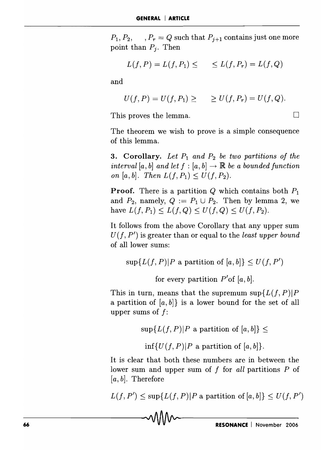$P_1, P_2, \dots, P_r = Q$  such that  $P_{j+1}$  contains just one more point than  $P_i$ . Then

$$
L(f, P) = L(f, P_1) \leq \qquad \leq L(f, P_r) = L(f, Q)
$$

and

$$
U(f, P) = U(f, P_1) \geq \qquad \geq U(f, P_r) = U(f, Q).
$$

This proves the lemma.  $\Box$ 

The theorem we wish to prove is a simple consequence of this lemma.

**3. Corollary.** Let  $P_1$  and  $P_2$  be two partitions of the *interval* [a, b] and let  $f : [a, b] \rightarrow \mathbb{R}$  be a bounded function *on* [a, b]. Then  $L(f, P_1) \leq U(f, P_2)$ .

**Proof.** There is a partition  $Q$  which contains both  $P_1$ and  $P_2$ , namely,  $Q := P_1 \cup P_2$ . Then by lemma 2, we have  $L(f, P_1) \leq L(f, Q) \leq U(f, Q) \leq U(f, P_2)$ .

It follows from the above Corollary that any upper sum  $U(f, P')$  is greater than or equal to the *least upper bound* of all lower sums:

 $\sup\{L(f, P)|P\text{ a partition of }[a, b]\}\leq U(f, P')$ 

for every partition  $P'$  of [a, b].

This in turn, means that the supremum  $\sup\{L(f, P)|P\}$ a partition of [a, *b]}* is a lower bound for the set of all upper sums of *j:* 

 $\sup\{L(f, P)|P \text{ a partition of } [a, b]\}\leq$ 

 $\inf\{U(f, P)|P \text{ a partition of } [a, b]\}.$ 

It is clear that both these numbers are in between the lower sum and upper sum of *f* for *all* partitions *P* of  $[a, b]$ . Therefore

 $L(f, P') \leq \sup\{L(f, P)|P \text{ a partition of } [a, b]\} \leq U(f, P')$  $L(f, P') \leq \sup\{L(f, P)|P \text{ a partition of } [a, b]\} \leq U(f, P')$ <br> **voluping the sum of**  $[e, b]$   $\leq U(f, P')$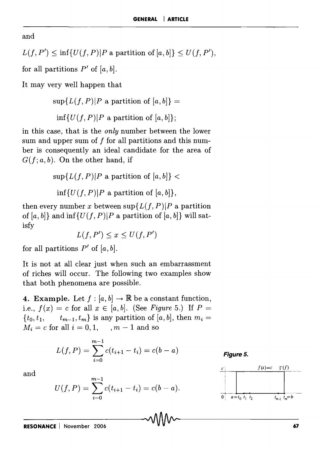and

$$
L(f, P') \le \inf \{ U(f, P) | P \text{ a partition of } [a, b] \} \le U(f, P'),
$$

for all partitions  $P'$  of  $[a, b]$ .

It may very well happen that

 $\sup\{L(f, P)|P \text{ a partition of } [a, b]\}$  =  $\inf\{U(f, P)|P \text{ a partition of } [a, b]\};$ 

in this case, that is the *only* number between the lower sum and upper sum of f for all partitions and this number is consequently an ideal candidate for the area of  $G(f; a, b)$ . On the other hand, if

$$
\sup\{L(f, P)|P \text{ a partition of } [a, b]\} <
$$

$$
\inf\{U(f, P)|P \text{ a partition of } [a, b]\},
$$

then every number *x* between  $\sup\{L(f, P)|P\}$  a partition of  $[a, b]$  and inf  $\{U(f, P)|P \text{ a partition of } [a, b]\}$  will satisfy

$$
L(f, P') \le x \le U(f, P')
$$

for all partitions  $P'$  of  $[a, b]$ .

It is not at all clear just when such an embarrassment of riches will occur. The following two examples show that both phenomena are possible.

**4. Example.** Let  $f : [a, b] \to \mathbb{R}$  be a constant function, i.e.,  $f(x) = c$  for all  $x \in [a, b]$ . (See *Figure 5.*) If  $P =$  ${t_0, t_1, \t t_{m-1}, t_m}$  is any partition of [a, b], then  $m_i =$  $M_i = c$  for all  $i = 0, 1, \dots, m - 1$  and so

$$
L(f, P) = \sum_{i=0}^{m-1} c(t_{i+1} - t_i) = c(b - a)
$$

Figure 5.



and

$$
U(f, P) = \sum_{i=0}^{m-1} c(t_{i+1} - t_i) = c(b - a).
$$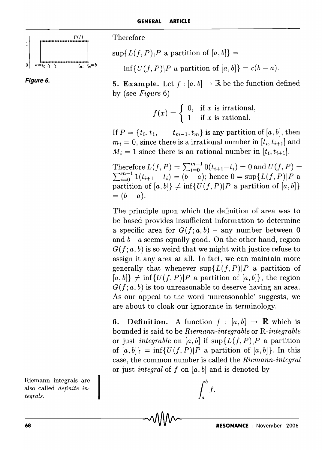

**Figure 6.** 

 $\sup\{L(f, P)|P\text{ a partition of }[a, b]\}$  =

 $\inf\{U(f, P)|P \text{ a partition of } [a, b]\} = c(b - a).$ 

**5. Example.** Let  $f : [a, b] \to \mathbb{R}$  be the function defined by (see *Figure 6)* 

$$
f(x) = \begin{cases} 0, & \text{if } x \text{ is irrational,} \\ 1 & \text{if } x \text{ is rational.} \end{cases}
$$

If  $P = \{t_0, t_1, \dots, t_{m-1}, t_m\}$  is any partition of [a, b], then  $m_i = 0$ , since there is a irrational number in  $[t_i, t_{i+1}]$  and  $M_i = 1$  since there is an rational number in  $[t_i, t_{i+1}]$ .

Therefore  $L(f, P) = \sum_{i=0}^{m-1} 0(t_{i+1}-t_i) = 0$  and  $U(f, P) =$  $\text{Therefore } L(f, P) = \sum_{i=0}^{m-1} 0(t_{i+1} - t_i) = 0 \text{ and } U(f, P) = \sum_{i=0}^{m-1} 1(t_{i+1} - t_i) = (b - a); \text{ hence } 0 = \sup\{L(f, P)|P\text{ a}\}$ partition of  $[a, b] \neq \inf \{U(f, P)|P \text{ a partition of } [a, b]\}$  $=(b-a).$ 

The principle upon which the definition of area was to be based provides insufficient information to determine a specific area for  $G(f; a, b)$  – any number between 0 and  $b - a$  seems equally good. On the other hand, region  $G(f; a, b)$  is so weird that we might with justice refuse to assign it any area at all. In fact, we can maintain more generally that whenever  $\sup\{L(f, P)|P\}$  a partition of  $[a, b] \neq \inf\{U(f, P)|P \text{ a partition of } [a, b]\},$  the region  $G(f; a, b)$  is too unreasonable to deserve having an area. As our appeal to the word 'unreasonable' suggests, we are about to cloak our ignorance in terminology.

**6.** Definition. A function  $f : [a, b] \rightarrow \mathbb{R}$  which is bounded is said to be *Riemann-integrable* or *R-integrable*  or just *integrable* on [a, b] if  $\sup\{L(f, P)|P\}$  a partition of  $[a, b] = \inf\{U(f, P)|P \text{ a partition of } [a, b]\}.$  In this case, the common nurnber is called the *Riemann-integral*  or just *integral* of *J* on *[a, b]* and is denoted by

 $\int^b f$ .

Riemann integrals are also called *definite integrals.*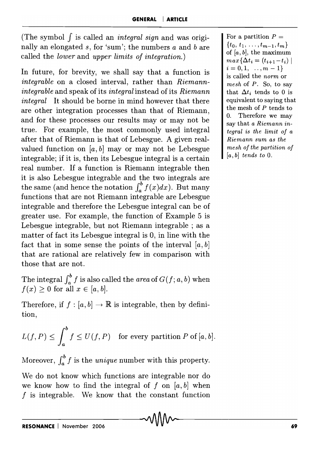(The symbol *J* is called an *integral sign* and was originally an elongated s, for 'sum'; the numbers  $a$  and  $b$  are called the *lower* and *upper limits of integration.)* 

In future, for brevity, we shall say that a function is *integrable* on a closed interval, rather than *Riemannintegrable* and speak of its *integral* instead of its *Riemann integral* It should be borne in mind however that there are other integration processes than that of Riemann, and for these processes our results mayor may not be true. For example, the most commonly used integral after that of Riemann is that of Lebesgue. A given realvalued function on  $[a, b]$  may or may not be Lebesgue integrable; if it is, then its Lebesgue integral is a certain real number. If a function is Riemann integrable then it is also Lebesgue integrable and the two integrals are the same (and hence the notation  $\int_a^b f(x)dx$ ). But many functions that are not Riemann integrable are Lebesgue integrable and therefore the Lebesgue integral can be of greater use. For example, the function of Example 5 is Lebesgue integrable, but not Riemann integrable ; as a matter of fact its Lebesgue integral is 0, in line with the fact that in some sense the points of the interval  $[a, b]$ that are rational are relatively few in comparison with those that are not.

The integral  $\int_a^b f$  is also called the *area* of  $G(f; a, b)$  when  $f(x) \geq 0$  for all  $x \in [a, b]$ .

Therefore, if  $f : [a, b] \to \mathbb{R}$  is integrable, then by definition,

$$
L(f, P) \le \int_a^b f \le U(f, P) \quad \text{for every partition } P \text{ of } [a, b].
$$

Moreover,  $\int_{a}^{b} f$  is the *unique* number with this property.

We do not know which functions are integrable nor do we know how to find the integral of f on  $[a, b]$  when  $f$  is integrable. We know that the constant function

For a partition  $P =$  $\{t_0, t_1, \ldots, t_{m-1}, t_m\}$ of  $[a, b]$ , the maximum  $max{\{\Delta t_i = (t_{i+1}-t_i) \mid \} }$  $i = 0, 1, \ldots, m - 1\}$ is called the *norm* or *mesh* of *P.* SO, to say that  $\Delta t_i$  tends to 0 is equivalent to saying that the mesh of *P* tends to O. Therefore we may say that *a Riemann integral* is *the limit of a Riemann sum as the mesh of the partition of [a, b] tends to* O.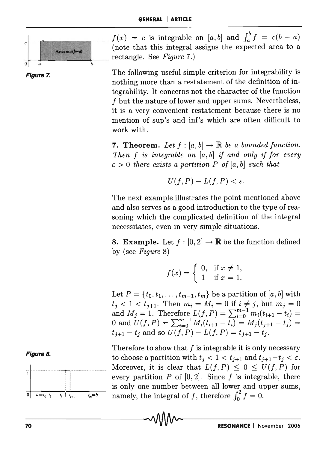

**Figure 7.** 

 $f(x) = c$  is integrable on  $[a, b]$  and  $\int_a^b f = c(b - a)$ (note that this integral assigns the expected area to a

> The following useful simple criterion for integrability is nothing more than a restatement of the definition of integrability. It concerns not the character of the function f but the nature of lower and upper sums. Nevertheless, it is a very convenient restatement because there is no mention of sup's and inf's which are often difficult to work with.

> 7. Theorem. Let  $f : [a, b] \to \mathbb{R}$  be a bounded function. *Then f is integrable on* [a, b] *if and only if for every*  $\varepsilon > 0$  there exists a partition P of [a, b] such that

$$
U(f, P) - L(f, P) < \varepsilon.
$$

The next example illustrates the point mentioned above and also serves as a good introduction to the type of reasoning which the complicated definition of the integral necessitates, even in very simple situations.

8. Example. Let  $f : [0, 2] \to \mathbb{R}$  be the function defined by (see *Figure 8)* 

$$
f(x) = \begin{cases} 0, & \text{if } x \neq 1, \\ 1 & \text{if } x = 1. \end{cases}
$$

Let  $P = \{t_0, t_1, \ldots, t_{m-1}, t_m\}$  be a partition of [a, b] with  $t_j < 1 < t_{j+1}$ . Then  $m_i = M_i = 0$  if  $i \neq j$ , but  $m_j = 0$ and  $M_j = 1$ . Therefore  $L(f, P) = \sum_{i=0}^{m-1} m_i(t_{i+1} - t_i) =$ 0 and  $U(f, P) = \sum_{i=0}^{m-1} M_i (t_{i+1} - t_i) = M_j (t_{j+1} - t_j) =$  $t_{i+1} - t_i$  and so  $U(f, P) - L(f, P) = t_{i+1} - t_i$ .

Therefore to show that *1* is integrable it is only necessary to choose a partition with  $t_i < 1 < t_{i+1}$  and  $t_{i+1} - t_i < \varepsilon$ . Moreover, it is clear that  $L(f, P) \leq 0 \leq U(f, P)$  for every partition  $P$  of  $[0, 2]$ . Since  $f$  is integrable, there is only one number between all lower and upper sums, is only one number between all lower and up<br>namely, the integral of  $f$ , therefore  $\int_0^2 f = 0$ .



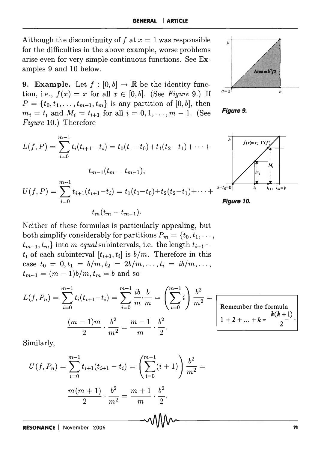Although the discontinuity of f at  $x = 1$  was responsible for the difficulties in the above example, worse problems arise even for very simple continuous functions. See Examples 9 and 10 below.

**9. Example.** Let  $f : [0, b] \to \mathbb{R}$  be the identity function, i.e.,  $f(x) = x$  for all  $x \in [0, b]$ . (See *Figure* 9.) If  $P = \{t_0, t_1, \ldots, t_{m-1}, t_m\}$  is any partition of [0, b], then  $m_i = t_i$  and  $M_i = t_{i+1}$  for all  $i = 0, 1, \ldots, m-1$ . (See **Figure 9.**) *Figure* 10.) Therefore



Neither of these formulas is particularly appealing, but both simplify considerably for partitions  $P_m = \{t_0, t_1, \ldots, t_m\}$  $t_{m-1}, t_m$  into m *equal* subintervals, i.e. the length  $t_{i+1}$   $t_i$  of each subinterval  $[t_{i+1}, t_i]$  is  $b/m$ . Therefore in this case  $t_0 = 0, t_1 = b/m, t_2 = 2b/m, \ldots, t_i = ib/m, \ldots, t_i$  $t_{m-1} = (m-1)b/m, t_m = b$  and so

$$
L(f, P_n) = \sum_{i=0}^{m-1} t_i (t_{i+1} - t_i) = \sum_{i=0}^{m-1} \frac{ib}{m} \cdot \frac{b}{m} = \left(\sum_{i=0}^{m-1} i\right) \frac{b^2}{m^2} = \frac{(m-1)m}{2} \cdot \frac{b^2}{m^2} = \frac{m-1}{m} \cdot \frac{b^2}{2}.
$$

Remember the formula  $1 + 2 + ... + k = \frac{k(k + 1)}{2}$ 

Similarly,

$$
U(f, P_n) = \sum_{i=0}^{m-1} t_{i+1}(t_{i+1} - t_i) = \left(\sum_{i=0}^{m-1} (i+1)\right) \frac{b^2}{m^2} = \frac{m(m+1)}{2} \cdot \frac{b^2}{m^2} = \frac{m+1}{m} \cdot \frac{b^2}{2}.
$$



M.

 $t_{i+1}$   $t_m = b$ 



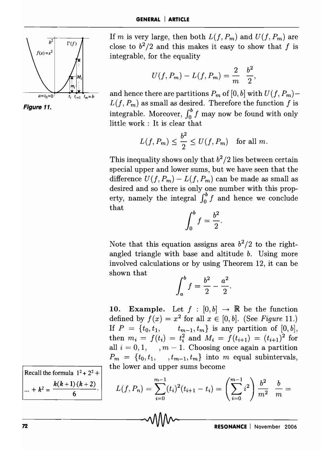



If m is very large, then both  $L(f, P_m)$  and  $U(f, P_m)$  are close to  $b^2/2$  and this makes it easy to show that f is integrable, for the equality

$$
U(f, P_m) - L(f, P_m) = \frac{2}{m} \frac{b^2}{2},
$$

and hence there are partitions  $P_m$  of [0, b] with  $U(f, P_m)$ - $L(f, P_m)$  as small as desired. Therefore the function f is integrable. Moreover,  $\int_0^b f$  may now be found with only little work: It is clear that

$$
L(f, P_m) \le \frac{b^2}{2} \le U(f, P_m) \quad \text{for all } m.
$$

This inequality shows only that  $b^2/2$  lies between certain special upper and lower sums, but we have seen that the difference  $U(f, P_m) - L(f, P_m)$  can be made as small as desired and so there is only one number with this property, namely the integral  $\int_0^b f$  and hence we conclude that

$$
\int_0^b f = \frac{b^2}{2}.
$$

Note that this equation assigns area  $b^2/2$  to the rightangled triangle with base and altitude b. Using more involved calculations or by using Theorem 12, it can be shown that

$$
\int_{a}^{b} f = \frac{b^2}{2} - \frac{a^2}{2}.
$$

**10. Example.** Let  $f : [0, b] \rightarrow \mathbb{R}$  be the function defined by  $f(x) = x^2$  for all  $x \in [0, b]$ . (See *Figure 11.)* If  $P = \{t_0, t_1, \t_{m-1}, t_m\}$  is any partition of  $[0, b],$ then  $m_i = f(t_i) = t_i^2$  and  $M_i = f(t_{i+1}) = (t_{i+1})^2$  for all  $i = 0, 1, \dots, m - 1$ . Choosing once again a partition  $P_m = \{t_0, t_1, \ldots, t_{m-1}, t_m\}$  into m equal subintervals, the lower and upper sums become

$$
L(f, P_n) = \sum_{i=0}^{m-1} (t_i)^2 (t_{i+1} - t_i) = \left(\sum_{i=0}^{m-1} i^2\right) \frac{b^2}{m^2}
$$

Recall the formula  $1^2 + 2^2 +$  $k(k+1)(k+2)$  $\cdots + k^2 = \frac{(-k)(k-1)}{6}$ .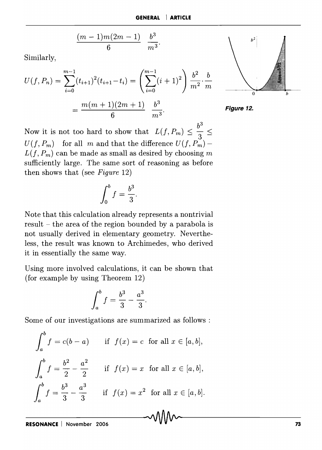$$
\frac{(m-1)m(2m-1)}{6} \frac{b^3}{m^3}.
$$

Similarly,

$$
U(f, P_n) = \sum_{i=0}^{m-1} (t_{i+1})^2 (t_{i+1} - t_i) = \left(\sum_{i=0}^{m-1} (i+1)^2\right) \frac{b^2}{m^2} \cdot \frac{b}{m}
$$

$$
= \frac{m(m+1)(2m+1)}{6} \frac{b^3}{m^3}.
$$





Now it is not too hard to show that  $L(f, P_m) \leq \frac{b^3}{2} \leq$  $U(f, P_m)$  for all m and that the difference  $U(f, P_m)$  - $L(f, P_m)$  can be made as small as desired by choosing m sufficiently large. The same sort of reasoning as before then shows that (see *Figure* 12)

$$
\int_0^b f = \frac{b^3}{3}.
$$

Note that this calculation already represents a nontrivial result - the area of the region bounded by a parabola is not usually derived in elementary geometry. Nevertheless, the result was known to Archimedes, who derived it in essentially the same way.

Using more involved calculations, it can be shown that (for example by using Theorem 12)

$$
\int_{a}^{b} f = \frac{b^3}{3} - \frac{a^3}{3}
$$

Some of our investigations are summarized as follows :

$$
\int_{a}^{b} f = c(b - a) \quad \text{if } f(x) = c \text{ for all } x \in [a, b],
$$

$$
\int_{a}^{b} f = \frac{b^{2}}{2} - \frac{a^{2}}{2} \quad \text{if } f(x) = x \text{ for all } x \in [a, b],
$$

$$
\int_{a}^{b} f = \frac{b^{3}}{3} - \frac{a^{3}}{3} \quad \text{if } f(x) = x^{2} \text{ for all } x \in [a, b].
$$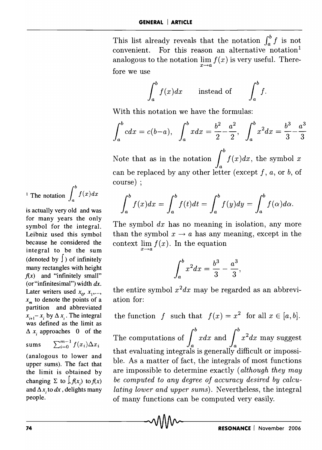This list already reveals that the notation  $\int_a^b f$  is not convenient. For this reason an alternative notation<sup>1</sup> analogous to the notation lim  $f(x)$  is very useful. Therefore we use

$$
\int_a^b f(x)dx \quad \text{instead of} \quad \int_a^b f.
$$

With this notation we have the formulas:  
\n
$$
\int_a^b c dx = c(b-a), \quad \int_a^b x dx = \frac{b^2}{2} - \frac{a^2}{2}, \quad \int_a^b x^2 dx = \frac{b^3}{3} - \frac{a^3}{3}
$$

Note that as in the notation  $\int_{a}^{b} f(x)dx$ , the symbol *x* can be replaced by any other letter (except f, *a,* or b, of course) ;

$$
\int_a^b f(x)dx = \int_a^b f(t)dt = \int_a^b f(y)dy = \int_a^b f(\alpha)d\alpha.
$$

The symbol *dx* has no meaning in isolation, any more than the symbol  $x \rightarrow a$  has any meaning, except in the context  $\lim_{x\to a} f(x)$ . In the equation

$$
\int_{a}^{b} x^{2} dx = \frac{b^{3}}{3} - \frac{a^{3}}{3},
$$

the entire symbol  $x^2 dx$  may be regarded as an abbreviation for:

the function *f* such that  $f(x) = x^2$  for all  $x \in [a, b]$ . The computations of  $\int_a^b x dx$  and  $\int_a^b x^2 dx$  may suggest that evaluating integrals is generally difficult or impossible. As a matter of fact, the integrals of most functions are impossible to determine exactly *(although they may be computed to any degree of accuracy desired by calculating lower and upper sums).* Nevertheless, the integral of many functions can be computed very easily.

<sup>1</sup> The notation 
$$
\int_a^b f(x) dx
$$

is actually very old and was for many years the only symbol for the integral. Leibniz used this symbol because he considered the integral to be the sum (denoted by  $\int$ ) of infinitely many rectangles with height  $f(x)$  and "infinitely small" (or "infinitesimal") width *dx.*  Later writers used  $x_0$ ,  $x_1$ ,...,  $x_m$  to denote the points of a partition and abbreviated  $x_{i+1} - x_i$  by  $\Delta x_i$ . The integral was defined as the limit as  $\Delta x_i$  approaches 0 of the

sums 
$$
\sum_{i=0}^{m-1} f(x_i) \Delta x_i
$$

(analogous to lower and upper sums). The fact that the limit is obtained by changing  $\Sigma$  to  $\int_{\Sigma} f(x)$  to  $f(x)$ and  $\Delta x$ , to  $dx$ , delights many people.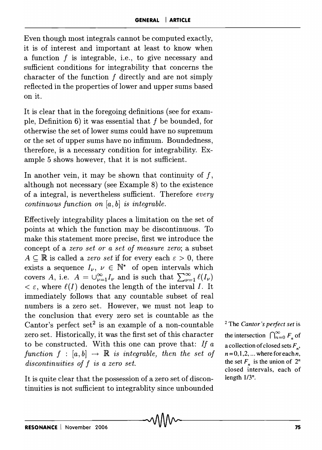Even though most integrals cannot be computed exactly, it is of interest and important at least to know when a function  $f$  is integrable, i.e., to give necessary and sufficient conditions for integrability that concerns the character of the function  $f$  directly and are not simply reflected in the properties of lower and upper sums based on it.

It is clear that in the foregoing definitions (see for example, Definition  $6$ ) it was essential that f be bounded, for otherwise the set of lower sums could have no supremum or the set of upper sums have no infimum. Boundedness, therefore, is a necessary condition for integrability. Example 5 shows however, that it is not sufficient.

In another vein, it may be shown that continuity of  $f$ , although not necessary (see Example 8) to the existence of a integral, is nevertheless sufficient. Therefore *every continuous function on [a, b] is integrable.* 

Effectively integrability places a limitation on the set of points at which the function may be discontinuous. To make this statement more precise, first we introduce the concept of a *zero set or a set of measure zero;* a subset  $A \subseteq \mathbb{R}$  is called a *zero set* if for every each  $\varepsilon > 0$ , there exists a sequence  $I_{\nu}$ ,  $\nu \in \mathbb{N}^*$  of open intervals which covers *A*, i.e.  $A = \bigcup_{\nu=1}^{\infty} I_{\nu}$  and is such that  $\sum_{\nu=1}^{\infty} \ell(I_{\nu})$  $\epsilon \in \epsilon$ , where  $\ell(I)$  denotes the length of the interval *I*. It immediately follows that any countable subset of real numbers is a zero set. However, we must not leap to the conclusion that every zero set is countable as the Cantor's perfect set<sup>2</sup> is an example of a non-countable zero set. Historically, it was the first set of this character to be constructed. With this one can prove that: *If a function*  $f : [a, b] \rightarrow \mathbb{R}$  *is integrable, then the set of discontinuities of* f *is a zero set.* 

It is quite clear that the possession of a zero set of discontinuities is not sufficient to integrablity since unbounded

<sup>2</sup>The *Cantor's peifect set* is the intersection  $\bigcap_{n=0}^{\infty} F_n$  of a collection of closed sets  $F<sub>n</sub>$ ,  $n = 0, 1, 2, \dots$  where for each *n*, the set  $F_n$  is the union of  $2^n$ closed intervals, each of length  $1/3^n$ .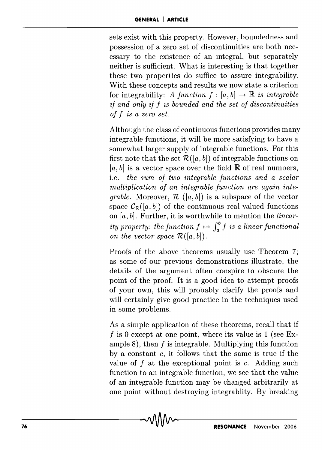sets exist with this property. However, boundedness and possession of a zero set of discontinuities are both necessary to the existence of an integral, but separately neither is sufficient. What is interesting is that together these two properties do suffice to assure integrability. With these concepts and results we now state a criterion for integrability: *A function*  $f : [a, b] \rightarrow \mathbb{R}$  *is integrable if and only if* f *is bounded and the set of discontinuities of* f *is a zero set.* 

Although the class of continuous functions provides many integrable functions, it will be more satisfying to have a somewhat larger supply of integrable functions. For this first note that the set  $\mathcal{R}([a, b])$  of integrable functions on  $[a, b]$  is a vector space over the field  $\mathbb R$  of real numbers, i.e. *the sum of two integrable functions and a scalar multiplication of an integrable function are again integrable.* Moreover,  $\mathcal{R}$  ([a, b]) is a subspace of the vector space  $C_{\mathbb{R}}([a, b])$  of the continuous real-valued functions on *[a, b].* Further, it is worthwhile to mention the *linearity property: the function*  $f \mapsto \int_a^b f$  *is a linear functional on the vector space*  $\mathcal{R}([a, b]).$ 

Proofs of the above theorems usually use Theorem 7; as some of our previous demonstrations illustrate, the details of the argument often conspire to obscure the point of the proof. It is a good idea to attempt proofs of your own, this will probably clarify the proofs and will certainly give good practice in the techniques used in some problems.

As a simple application of these theorems, recall that if f is 0 except at one point, where its value is 1 (see Example 8), then  $f$  is integrable. Multiplying this function by a constant  $c$ , it follows that the same is true if the value of  $f$  at the exceptional point is  $c$ . Adding such function to an integrable function, we see that the value of an integrable function may be changed arbitrarily at one point without destroying integrablity. By breaking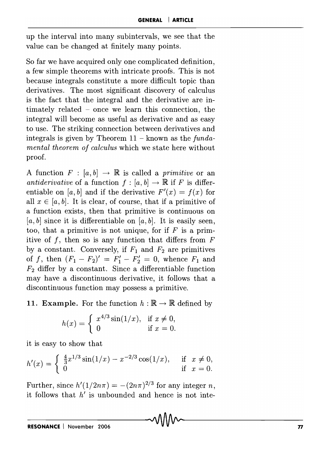up the interval into many subintervals, we see that the value can be changed at finitely many points.

So far we have acquired only one complicated definition, a few simple theorems with intricate proofs. This is not because integrals constitute a more difficult topic than derivatives. The most significant discovery of calculus is the fact that the integral and the derivative are intimately related - once we learn this connection, the integral will become as useful as derivative and as easy to use. The striking connection between derivatives and integrals is given by Theorem 11 - known as the *fundamental theorem of calculus* which we state here without proof.

A function  $F : [a, b] \rightarrow \mathbb{R}$  is called a *primitive* or an *antiderivative* of a function  $f : [a, b] \rightarrow \mathbb{R}$  if *F* is differentiable on [a, b] and if the derivative  $F'(x) = f(x)$  for all  $x \in [a, b]$ . It is clear, of course, that if a primitive of a function exists, then that primitive is continuous on  $[a, b]$  since it is differentiable on  $[a, b]$ . It is easily seen, too, that a primitive is not unique, for if  $F$  is a primitive of  $f$ , then so is any function that differs from  $F$ by a constant. Conversely, if  $F_1$  and  $F_2$  are primitives of f, then  $(F_1 - F_2)' = F_1' - F_2' = 0$ , whence  $F_1$  and *F2* differ by a constant. Since a differentiable function may have a discontinuous derivative, it follows that a discontinuous function may possess a primitive.

11. Example. For the function  $h : \mathbb{R} \to \mathbb{R}$  defined by

$$
h(x) = \begin{cases} x^{4/3} \sin(1/x), & \text{if } x \neq 0, \\ 0 & \text{if } x = 0. \end{cases}
$$

it is easy to show that

$$
h'(x) = \begin{cases} \frac{4}{3}x^{1/3}\sin(1/x) - x^{-2/3}\cos(1/x), & \text{if } x \neq 0, \\ 0 & \text{if } x = 0. \end{cases}
$$

Further, since  $h'(1/2n\pi) = -(2n\pi)^{2/3}$  for any integer *n*, it follows that *h'* is unbounded and hence is not inte-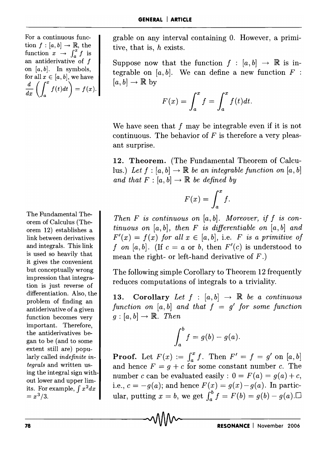For a continuous function  $f : [a, b] \rightarrow \mathbb{R}$ , the function  $x \rightarrow \int_a^x f$  is an antiderivative of f on  $[a, b]$ . In symbols, for all  $x \in [a, b]$ , we have  $\frac{d}{dx}\left(\int_{a}^{x}f(t)dt\right) = f(x).$ 

The Fundamental Theorem of Calculus (Theorem 12) establishes a link between derivatives and integrals. This link is used so heavily that it gives the convenient but conceptually wrong impression that integration is just reverse of differentiation. Also, the problem of finding an antiderivative of a given function becomes very important. Therefore, the antiderivatives began to be (and to some extent still are) popularly called *indefinite integrals* and written using the integral sign without lower and upper limits. For example,  $\int x^2 dx$  $= x^3/3.$ 

grable on any interval containing O. However, a primitive, that is, *h* exists.

Suppose now that the function  $f : [a, b] \rightarrow \mathbb{R}$  is integrable on  $[a, b]$ . We can define a new function  $F$ :  $[a, b] \rightarrow \mathbb{R}$  by

$$
F(x) = \int_a^x f = \int_a^x f(t)dt.
$$

We have seen that f may be integrable even if it is not continuous. The behavior of  $F$  is therefore a very pleasant surprise.

**12. Theorem.** (The Fundamental Theorem of Calculus.) Let  $f : [a, b] \rightarrow \mathbb{R}$  be an integrable function on  $[a, b]$ *and that*  $F : [a, b] \rightarrow \mathbb{R}$  *be defined by* 

$$
F(x) = \int_a^x f.
$$

*Then F is continuous on [a, b]* . *Moreover, if f is continuous on [a, b], then F is differentiable on [a, b] and*   $F'(x) = f(x)$  *for all*  $x \in [a, b]$ , i.e. *F is a primitive of* f on [a, b]. (If  $c = a$  or b, then  $F'(c)$  is understood to mean the right- or left-hand derivative of *F.)* 

The following simple Corollary to Theorem 12 frequently reduces computations of integrals to a triviality.

**13. Corollary** Let  $f : [a, b] \rightarrow \mathbb{R}$  be a continuous function on  $[a, b]$  and that  $f = g'$  for some function  $q : [a, b] \rightarrow \mathbb{R}$ . *Then* 

$$
\int_a^b f = g(b) - g(a).
$$

**Proof.** Let  $F(x) := \int_a^x f$ . Then  $F' = f = g'$  on  $[a, b]$ and hence  $F = g + c$  for some constant number c. The number c can be evaluated easily:  $0 = F(a) = q(a) + c$ , i.e.,  $c = -g(a)$ ; and hence  $F(x) = g(x) - g(a)$ . In particular, putting  $x = b$ , we get  $\int_a^b f = F(b) = g(b) - g(a)$ .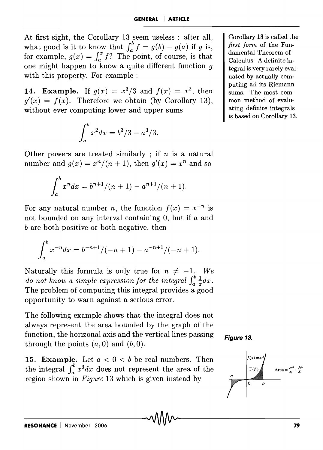At first sight, the Corollary 13 seem useless : after all, what good is it to know that  $\int_a^b f = g(b) - g(a)$  if g is, for example,  $g(x) = \int_a^x f$ ? The point, of course, is that one might happen to know a quite different function  $q$ with this property. For example:

**14. Example.** If  $g(x) = x^3/3$  and  $f(x) = x^2$ , then  $q'(x) = f(x)$ . Therefore we obtain (by Corollary 13), without ever computing lower and upper sums

$$
\int_{a}^{b} x^2 dx = b^3/3 - a^3/3.
$$

Other powers are treated similarly ; if *n* is a natural number and  $g(x) = x^n/(n+1)$ , then  $g'(x) = x^n$  and so

$$
\int_a^b x^n dx = b^{n+1}/(n+1) - a^{n+1}/(n+1).
$$

For any natural number *n*, the function  $f(x) = x^{-n}$  is not bounded on any interval containing 0, but if a and *b* are both positive or both negative, then

$$
\int_a^b x^{-n} dx = b^{-n+1}/(-n+1) - a^{-n+1}/(-n+1).
$$

Naturally this formula is only true for  $n \neq -1$ . We *do not know a simple expression for the integral*  $\int_{a}^{b} \frac{1}{x} dx$ . The problem of computing this integral provides a good opportunity to warn against a serious error.

The following example shows that the integral does not always represent the area bounded by the graph of the function, the horizonal axis and the vertical lines passing through the points  $(a,0)$  and  $(b,0)$ .

**15. Example.** Let  $a < 0 < b$  be real numbers. Then the integral  $\int_a^b x^3 dx$  does not represent the area of the region shown in *Figure* 13 which is given instead by





Corollary 13 is called the *first form* of the Fundamental Theorem of Calculus. A definite integral is very rarely evaluated by actually computing all its Riemann sums. The most common method of evaluating definite integrals is based on Corollary 13.